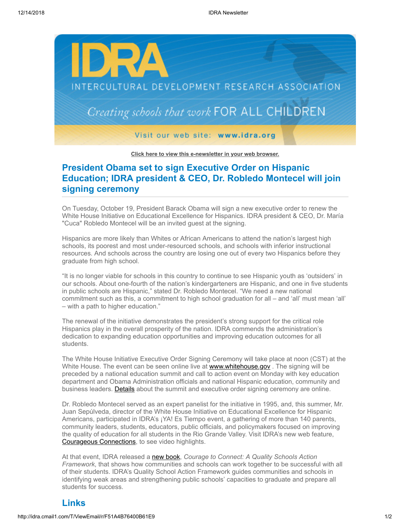

**[Click here to view this e-newsletter in your web browser.](http://idra.createsend1.com/t/r/e/zluldt/l/)**

## **President Obama set to sign Executive Order on Hispanic Education; IDRA president & CEO, Dr. Robledo Montecel will join signing ceremony**

On Tuesday, October 19, President Barack Obama will sign a new executive order to renew the White House Initiative on Educational Excellence for Hispanics. IDRA president & CEO, Dr. María "Cuca" Robledo Montecel will be an invited guest at the signing.

Hispanics are more likely than Whites or African Americans to attend the nation's largest high schools, its poorest and most under-resourced schools, and schools with inferior instructional resources. And schools across the country are losing one out of every two Hispanics before they graduate from high school.

"It is no longer viable for schools in this country to continue to see Hispanic youth as 'outsiders' in our schools. About one-fourth of the nation's kindergarteners are Hispanic, and one in five students in public schools are Hispanic," stated Dr. Robledo Montecel. "We need a new national commitment such as this, a commitment to high school graduation for all – and 'all' must mean 'all' – with a path to higher education."

The renewal of the initiative demonstrates the president's strong support for the critical role Hispanics play in the overall prosperity of the nation. IDRA commends the administration's dedication to expanding education opportunities and improving education outcomes for all students.

The White House Initiative Executive Order Signing Ceremony will take place at noon (CST) at the White House. The event can be seen online live at www.whitehouse.gov. The signing will be preceded by a national education summit and call to action event on Monday with key education department and Obama Administration officials and national Hispanic education, community and business leaders. [Details](http://idra.createsend1.com/t/r/l/zluldt/l/j) about the summit and executive order signing ceremony are online.

Dr. Robledo Montecel served as an expert panelist for the initiative in 1995, and, this summer, Mr. Juan Sepúlveda, director of the White House Initiative on Educational Excellence for Hispanic Americans, participated in IDRA's ¡YA! Es Tiempo event, a gathering of more than 140 parents, community leaders, students, educators, public officials, and policymakers focused on improving the quality of education for all students in the Rio Grande Valley. Visit IDRA's new web feature, [Courageous Connections,](http://idra.createsend1.com/t/r/l/zluldt/l/t) to see video highlights.

At that event, IDRA released a [new book,](http://idra.createsend1.com/t/r/l/zluldt/l/i) *Courage to Connect: A Quality Schools Action Framework*, that shows how communities and schools can work together to be successful with all of their students. IDRA's Quality School Action Framework guides communities and schools in identifying weak areas and strengthening public schools' capacities to graduate and prepare all students for success.

## **Links**